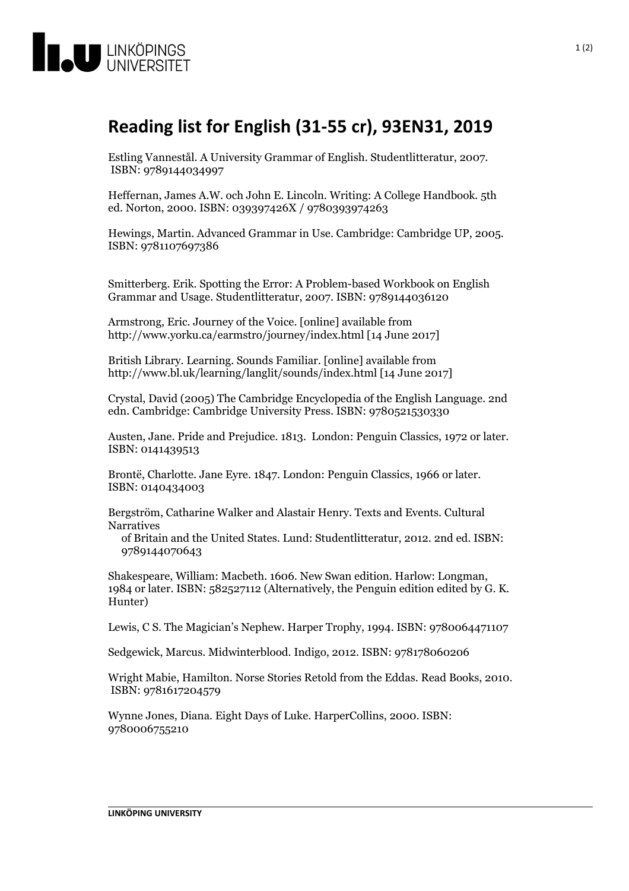

## **Readinglist forEnglish (31-55 cr), 93EN31, 2019**

Estling Vannestål. <sup>A</sup> University Grammar of English. Studentlitteratur, 2007. ISBN: <sup>9789144034997</sup>

Heffernan, James A.W. och John E. Lincoln. Writing: A College Handbook. 5th ed. Norton, 2000. ISBN: 039397426X / 9780393974263

Hewings, Martin. Advanced Grammar in Use. Cambridge: Cambridge UP, 2005. ISBN: <sup>9781107697386</sup>

Smitterberg. Erik. Spotting the Error: A Problem-based Workbook on English Grammar and Usage. Studentlitteratur, 2007. ISBN: 9789144036120

Armstrong, Eric. Journey of the Voice. [online] available from http://www.yorku.ca/earmstro/journey/index.html [14 June 2017]

British Library. Learning. Sounds Familiar. [online] available from http://www.bl.uk/learning/langlit/sounds/index.html [14 June 2017]

Crystal, David (2005) The Cambridge Encyclopedia of the English Language. 2nd edn. Cambridge: Cambridge University Press. ISBN: 9780521530330

Austen, Jane. Pride and Prejudice. 1813. London: Penguin Classics, <sup>1972</sup> or later. ISBN: <sup>0141439513</sup>

Brontë, Charlotte. Jane Eyre. 1847. London: Penguin Classics, <sup>1966</sup> or later. ISBN: <sup>0140434003</sup>

Bergström, Catharine Walker and Alastair Henry. Texts and Events. Cultural Narratives

of Britain and the United States. Lund: Studentlitteratur, 2012. 2nd ed. ISBN: 9789144070643

Shakespeare, William: Macbeth. 1606. New Swan edition. Harlow: Longman, <sup>1984</sup> or later. ISBN: <sup>582527112</sup> (Alternatively, the Penguin edition edited by G. K. Hunter)

Lewis, C S. The Magician's Nephew. Harper Trophy, 1994. ISBN: 9780064471107

Sedgewick, Marcus. Midwinterblood. Indigo, 2012. ISBN: 978178060206

Wright Mabie, Hamilton. Norse Stories Retold from the Eddas. Read Books, 2010. ISBN: <sup>9781617204579</sup>

Wynne Jones, Diana. Eight Days of Luke. HarperCollins, 2000. ISBN: 9780006755210